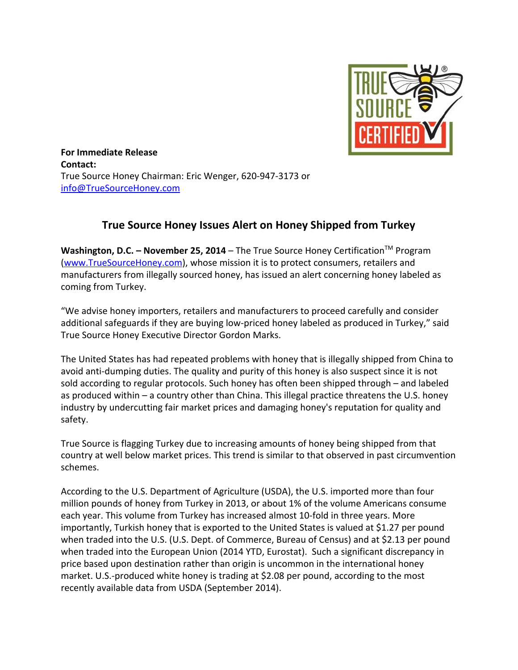

**For Immediate Release Contact:** True Source Honey Chairman: Eric Wenger, 620-947-3173 or [info@TrueSourceHoney.com](mailto:info@TrueSourceHoney.com)

## **True Source Honey Issues Alert on Honey Shipped from Turkey**

**Washington, D.C. – November 25, 2014** – The True Source Honey Certification TM Program [\(www.TrueSourceHoney.com\)](http://www.google.com/url?q=http%3A%2F%2Fwww.truesourcehoney.com&sa=D&sntz=1&usg=AFQjCNHA05UW0sFSBKoPTlxgSzx09La3YQ), whose mission it is to protect consumers, retailers and manufacturers from illegally sourced honey, has issued an alert concerning honey labeled as coming from Turkey.

"We advise honey importers, retailers and manufacturers to proceed carefully and consider additional safeguards if they are buying low-priced honey labeled as produced in Turkey," said True Source Honey Executive Director Gordon Marks.

The United States has had repeated problems with honey that is illegally shipped from China to avoid anti-dumping duties. The quality and purity of this honey is also suspect since it is not sold according to regular protocols. Such honey has often been shipped through – and labeled as produced within – a country other than China. This illegal practice threatens the U.S. honey industry by undercutting fair market prices and damaging honey's reputation for quality and safety.

True Source is flagging Turkey due to increasing amounts of honey being shipped from that country at well below market prices. This trend is similar to that observed in past circumvention schemes.

According to the U.S. Department of Agriculture (USDA), the U.S. imported more than four million pounds of honey from Turkey in 2013, or about 1% of the volume Americans consume each year. This volume from Turkey has increased almost 10-fold in three years. More importantly, Turkish honey that is exported to the United States is valued at \$1.27 per pound when traded into the U.S. (U.S. Dept. of Commerce, Bureau of Census) and at \$2.13 per pound when traded into the European Union (2014 YTD, Eurostat). Such a significant discrepancy in price based upon destination rather than origin is uncommon in the international honey market. U.S.-produced white honey is trading at \$2.08 per pound, according to the most recently available data from USDA (September 2014).